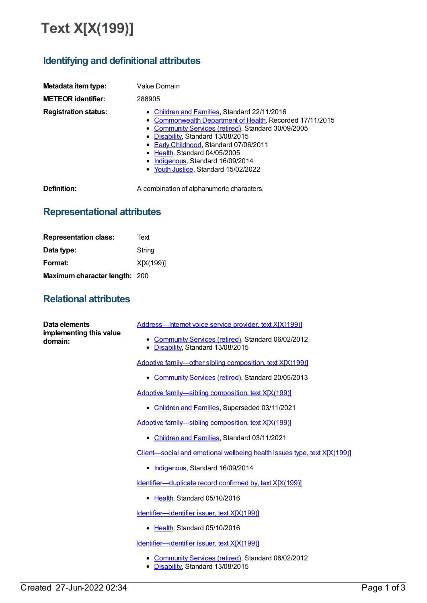## **Text X[X(199)]**

## **Identifying and definitional attributes**

| Metadata item type:         | Value Domain                                                                                                                                                                                                                                                                                                                                                 |
|-----------------------------|--------------------------------------------------------------------------------------------------------------------------------------------------------------------------------------------------------------------------------------------------------------------------------------------------------------------------------------------------------------|
| <b>METEOR identifier:</b>   | 288905                                                                                                                                                                                                                                                                                                                                                       |
| <b>Registration status:</b> | • Children and Families, Standard 22/11/2016<br>• Commonwealth Department of Health, Recorded 17/11/2015<br>• Community Services (retired), Standard 30/09/2005<br>• Disability, Standard 13/08/2015<br>• Early Childhood, Standard 07/06/2011<br>• Health, Standard 04/05/2005<br>• Indigenous, Standard 16/09/2014<br>• Youth Justice, Standard 15/02/2022 |

**Definition:** A combination of alphanumeric characters.

## **Representational attributes**

| <b>Representation class:</b>  | Text      |
|-------------------------------|-----------|
| Data type:                    | String    |
| Format:                       | X[X(199)] |
| Maximum character length: 200 |           |

## **Relational attributes**

| Data elements<br>implementing this value<br>domain: | Address-Internet voice service provider, text X[X(199)]                                        |
|-----------------------------------------------------|------------------------------------------------------------------------------------------------|
|                                                     | Community Services (retired), Standard 06/02/2012<br>٠<br>Disability, Standard 13/08/2015<br>٠ |
|                                                     | Adoptive family-other sibling composition, text X[X(199)]                                      |
|                                                     | • Community Services (retired), Standard 20/05/2013                                            |
|                                                     | Adoptive family-sibling composition, text X[X(199)]                                            |
|                                                     | • Children and Families, Superseded 03/11/2021                                                 |
|                                                     | Adoptive family-sibling composition, text X[X(199)]                                            |
|                                                     | • Children and Families, Standard 03/11/2021                                                   |
|                                                     | Client—social and emotional wellbeing health issues type, text X[X(199)]                       |
|                                                     | • Indigenous, Standard 16/09/2014                                                              |
|                                                     | Identifier-duplicate record confirmed by, text X[X(199)]                                       |
|                                                     | Health, Standard 05/10/2016<br>٠                                                               |
|                                                     | Identifier-identifier issuer, text X[X(199)]                                                   |
|                                                     | Health, Standard 05/10/2016<br>٠                                                               |
|                                                     | Identifier-identifier issuer, text X[X(199)]                                                   |
|                                                     | • Community Services (retired), Standard 06/02/2012<br>Disability, Standard 13/08/2015         |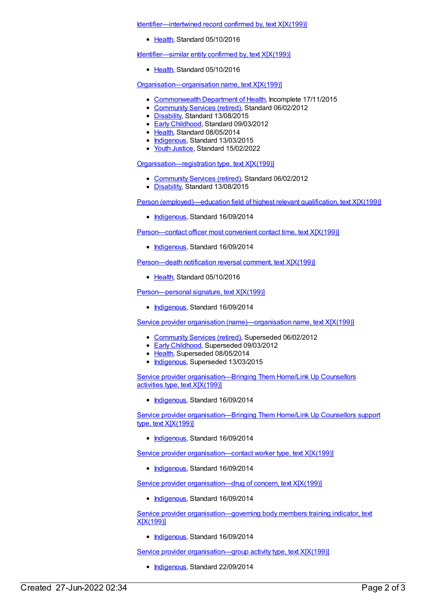[Identifier—intertwined](https://meteor.aihw.gov.au/content/638720) record confirmed by, text X[X(199)]

• [Health](https://meteor.aihw.gov.au/RegistrationAuthority/12), Standard 05/10/2016

[Identifier—similar](https://meteor.aihw.gov.au/content/520248) entity confirmed by, text X[X(199)]

[Health](https://meteor.aihw.gov.au/RegistrationAuthority/12), Standard 05/10/2016

[Organisation—organisation](https://meteor.aihw.gov.au/content/453823) name, text X[X(199)]

- [Commonwealth](https://meteor.aihw.gov.au/RegistrationAuthority/10) Department of Health, Incomplete 17/11/2015
- [Community](https://meteor.aihw.gov.au/RegistrationAuthority/1) Services (retired), Standard 06/02/2012
- [Disability](https://meteor.aihw.gov.au/RegistrationAuthority/16), Standard 13/08/2015
- Early [Childhood](https://meteor.aihw.gov.au/RegistrationAuthority/13), Standard 09/03/2012
- [Health](https://meteor.aihw.gov.au/RegistrationAuthority/12), Standard 08/05/2014
- [Indigenous](https://meteor.aihw.gov.au/RegistrationAuthority/6), Standard 13/03/2015
- Youth [Justice](https://meteor.aihw.gov.au/RegistrationAuthority/4), Standard 15/02/2022

[Organisation—registration](https://meteor.aihw.gov.au/content/433238) type, text X[X(199)]

- [Community](https://meteor.aihw.gov.au/RegistrationAuthority/1) Services (retired), Standard 06/02/2012
- [Disability](https://meteor.aihw.gov.au/RegistrationAuthority/16), Standard 13/08/2015

Person [\(employed\)—education](https://meteor.aihw.gov.au/content/578608) field of highest relevant qualification, text X[X(199)]

• [Indigenous](https://meteor.aihw.gov.au/RegistrationAuthority/6), Standard 16/09/2014

[Person—contact](https://meteor.aihw.gov.au/content/562867) officer most convenient contact time, text X[X(199)]

• [Indigenous](https://meteor.aihw.gov.au/RegistrationAuthority/6), Standard 16/09/2014

[Person—death](https://meteor.aihw.gov.au/content/521457) notification reversal comment, text X[X(199)]

• [Health](https://meteor.aihw.gov.au/RegistrationAuthority/12), Standard 05/10/2016

Person-personal signature, text X[X(199)]

• [Indigenous](https://meteor.aihw.gov.au/RegistrationAuthority/6), Standard 16/09/2014

Service provider organisation [\(name\)—organisation](https://meteor.aihw.gov.au/content/288917) name, text X[X(199)]

- [Community](https://meteor.aihw.gov.au/RegistrationAuthority/1) Services (retired), Superseded 06/02/2012
- **Early [Childhood](https://meteor.aihw.gov.au/RegistrationAuthority/13), Superseded 09/03/2012**
- [Health](https://meteor.aihw.gov.au/RegistrationAuthority/12), Superseded 08/05/2014
- [Indigenous](https://meteor.aihw.gov.au/RegistrationAuthority/6), Superseded 13/03/2015

Service provider [organisation—Bringing](https://meteor.aihw.gov.au/content/578898) Them Home/Link Up Counsellors activities type, text X[X(199)]

• [Indigenous](https://meteor.aihw.gov.au/RegistrationAuthority/6), Standard 16/09/2014

Service provider [organisation—Bringing](https://meteor.aihw.gov.au/content/579353) Them Home/Link Up Counsellors support type, text X[X(199)]

• [Indigenous](https://meteor.aihw.gov.au/RegistrationAuthority/6), Standard 16/09/2014

Service provider [organisation—contact](https://meteor.aihw.gov.au/content/565716) worker type, text X[X(199)]

• [Indigenous](https://meteor.aihw.gov.au/RegistrationAuthority/6), Standard 16/09/2014

Service provider [organisation—drug](https://meteor.aihw.gov.au/content/568998) of concern, text X[X(199)]

• [Indigenous](https://meteor.aihw.gov.au/RegistrationAuthority/6), Standard 16/09/2014

Service provider [organisation—governing](https://meteor.aihw.gov.au/content/564414) body members training indicator, text X[X(199)]

[Indigenous](https://meteor.aihw.gov.au/RegistrationAuthority/6), Standard 16/09/2014

Service provider organisation-group activity type, text X[X(199)]

• [Indigenous](https://meteor.aihw.gov.au/RegistrationAuthority/6), Standard 22/09/2014